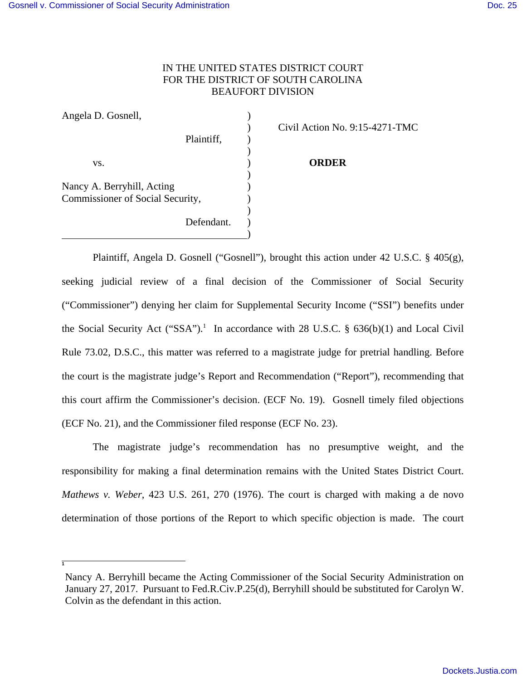**1**

# IN THE UNITED STATES DISTRICT COURT FOR THE DISTRICT OF SOUTH CAROLINA BEAUFORT DIVISION

Angela D. Gosnell, ) Plaintiff,  $\qquad$ ) ) vs. ) **ORDER** ) Nancy A. Berryhill, Acting ) Commissioner of Social Security, ) ) Defendant. )

) Civil Action No. 9:15-4271-TMC

Plaintiff, Angela D. Gosnell ("Gosnell"), brought this action under 42 U.S.C.  $\S$  405(g), seeking judicial review of a final decision of the Commissioner of Social Security ("Commissioner") denying her claim for Supplemental Security Income ("SSI") benefits under the Social Security Act ("SSA").<sup>1</sup> In accordance with 28 U.S.C.  $\S$  636(b)(1) and Local Civil Rule 73.02, D.S.C., this matter was referred to a magistrate judge for pretrial handling. Before the court is the magistrate judge's Report and Recommendation ("Report"), recommending that this court affirm the Commissioner's decision. (ECF No. 19). Gosnell timely filed objections (ECF No. 21), and the Commissioner filed response (ECF No. 23).

The magistrate judge's recommendation has no presumptive weight, and the responsibility for making a final determination remains with the United States District Court. *Mathews v. Weber*, 423 U.S. 261, 270 (1976). The court is charged with making a de novo determination of those portions of the Report to which specific objection is made. The court

Nancy A. Berryhill became the Acting Commissioner of the Social Security Administration on January 27, 2017. Pursuant to Fed.R.Civ.P.25(d), Berryhill should be substituted for Carolyn W. Colvin as the defendant in this action.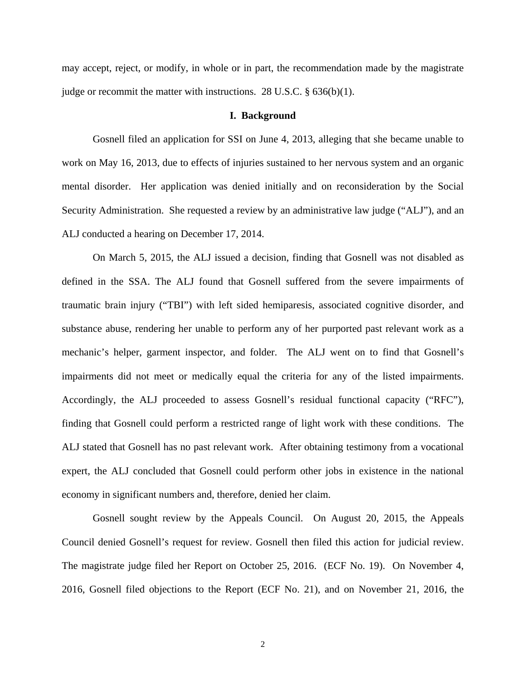may accept, reject, or modify, in whole or in part, the recommendation made by the magistrate judge or recommit the matter with instructions. 28 U.S.C. § 636(b)(1).

### **I. Background**

Gosnell filed an application for SSI on June 4, 2013, alleging that she became unable to work on May 16, 2013, due to effects of injuries sustained to her nervous system and an organic mental disorder. Her application was denied initially and on reconsideration by the Social Security Administration. She requested a review by an administrative law judge ("ALJ"), and an ALJ conducted a hearing on December 17, 2014.

On March 5, 2015, the ALJ issued a decision, finding that Gosnell was not disabled as defined in the SSA. The ALJ found that Gosnell suffered from the severe impairments of traumatic brain injury ("TBI") with left sided hemiparesis, associated cognitive disorder, and substance abuse, rendering her unable to perform any of her purported past relevant work as a mechanic's helper, garment inspector, and folder. The ALJ went on to find that Gosnell's impairments did not meet or medically equal the criteria for any of the listed impairments. Accordingly, the ALJ proceeded to assess Gosnell's residual functional capacity ("RFC"), finding that Gosnell could perform a restricted range of light work with these conditions. The ALJ stated that Gosnell has no past relevant work. After obtaining testimony from a vocational expert, the ALJ concluded that Gosnell could perform other jobs in existence in the national economy in significant numbers and, therefore, denied her claim.

Gosnell sought review by the Appeals Council. On August 20, 2015, the Appeals Council denied Gosnell's request for review. Gosnell then filed this action for judicial review. The magistrate judge filed her Report on October 25, 2016. (ECF No. 19). On November 4, 2016, Gosnell filed objections to the Report (ECF No. 21), and on November 21, 2016, the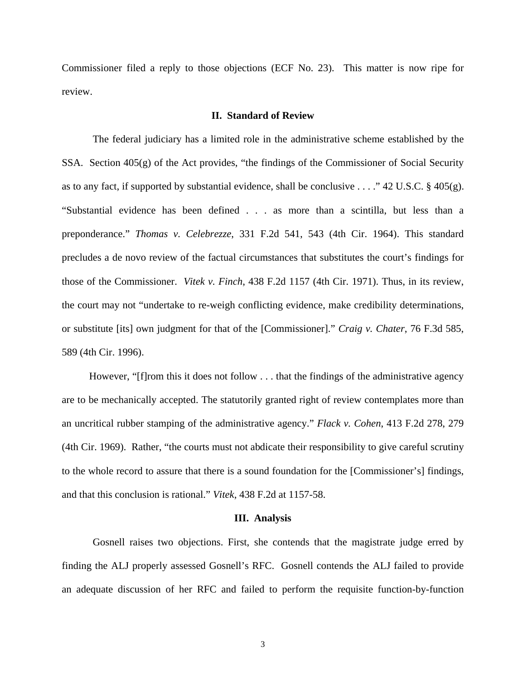Commissioner filed a reply to those objections (ECF No. 23). This matter is now ripe for review.

### **II. Standard of Review**

The federal judiciary has a limited role in the administrative scheme established by the SSA. Section 405(g) of the Act provides, "the findings of the Commissioner of Social Security as to any fact, if supported by substantial evidence, shall be conclusive . . . ." 42 U.S.C. § 405(g). "Substantial evidence has been defined . . . as more than a scintilla, but less than a preponderance." *Thomas v. Celebrezze*, 331 F.2d 541, 543 (4th Cir. 1964). This standard precludes a de novo review of the factual circumstances that substitutes the court's findings for those of the Commissioner. *Vitek v. Finch*, 438 F.2d 1157 (4th Cir. 1971). Thus, in its review, the court may not "undertake to re-weigh conflicting evidence, make credibility determinations, or substitute [its] own judgment for that of the [Commissioner]." *Craig v. Chater*, 76 F.3d 585, 589 (4th Cir. 1996).

However, "[f]rom this it does not follow . . . that the findings of the administrative agency are to be mechanically accepted. The statutorily granted right of review contemplates more than an uncritical rubber stamping of the administrative agency." *Flack v. Cohen*, 413 F.2d 278, 279 (4th Cir. 1969). Rather, "the courts must not abdicate their responsibility to give careful scrutiny to the whole record to assure that there is a sound foundation for the [Commissioner's] findings, and that this conclusion is rational." *Vitek*, 438 F.2d at 1157-58.

#### **III. Analysis**

Gosnell raises two objections. First, she contends that the magistrate judge erred by finding the ALJ properly assessed Gosnell's RFC. Gosnell contends the ALJ failed to provide an adequate discussion of her RFC and failed to perform the requisite function-by-function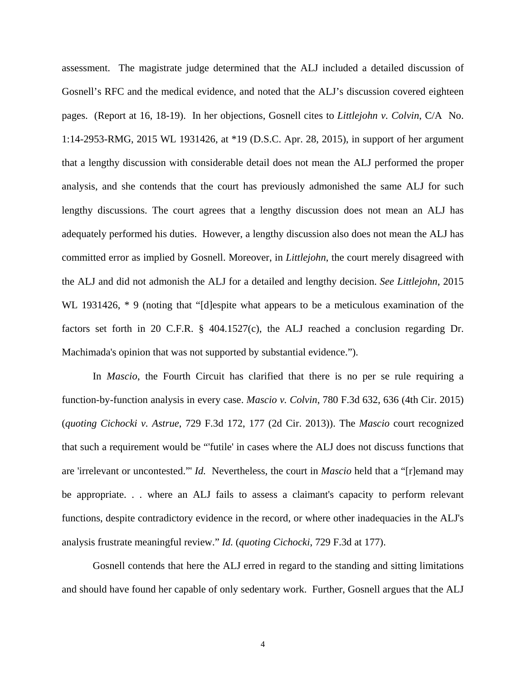assessment. The magistrate judge determined that the ALJ included a detailed discussion of Gosnell's RFC and the medical evidence, and noted that the ALJ's discussion covered eighteen pages. (Report at 16, 18-19). In her objections, Gosnell cites to *Littlejohn v. Colvin*, C/A No. 1:14-2953-RMG, 2015 WL 1931426, at \*19 (D.S.C. Apr. 28, 2015), in support of her argument that a lengthy discussion with considerable detail does not mean the ALJ performed the proper analysis, and she contends that the court has previously admonished the same ALJ for such lengthy discussions. The court agrees that a lengthy discussion does not mean an ALJ has adequately performed his duties. However, a lengthy discussion also does not mean the ALJ has committed error as implied by Gosnell. Moreover, in *Littlejohn*, the court merely disagreed with the ALJ and did not admonish the ALJ for a detailed and lengthy decision. *See Littlejohn*, 2015 WL 1931426, \* 9 (noting that "[d]espite what appears to be a meticulous examination of the factors set forth in 20 C.F.R. § 404.1527(c), the ALJ reached a conclusion regarding Dr. Machimada's opinion that was not supported by substantial evidence.").

In *Mascio*, the Fourth Circuit has clarified that there is no per se rule requiring a function-by-function analysis in every case. *Mascio v. Colvin*, 780 F.3d 632, 636 (4th Cir. 2015) (*quoting Cichocki v. Astrue*, 729 F.3d 172, 177 (2d Cir. 2013)). The *Mascio* court recognized that such a requirement would be "'futile' in cases where the ALJ does not discuss functions that are 'irrelevant or uncontested."' *Id.* Nevertheless, the court in *Mascio* held that a "[r]emand may be appropriate. . . where an ALJ fails to assess a claimant's capacity to perform relevant functions, despite contradictory evidence in the record, or where other inadequacies in the ALJ's analysis frustrate meaningful review." *Id.* (*quoting Cichocki*, 729 F.3d at 177).

Gosnell contends that here the ALJ erred in regard to the standing and sitting limitations and should have found her capable of only sedentary work. Further, Gosnell argues that the ALJ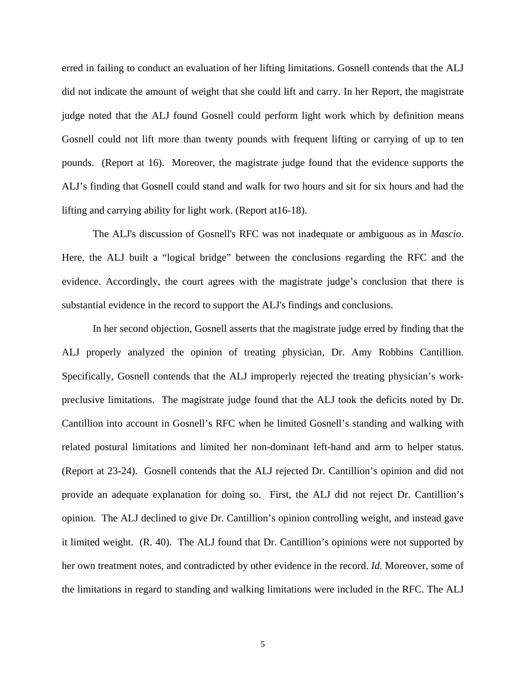erred in failing to conduct an evaluation of her lifting limitations. Gosnell contends that the ALJ did not indicate the amount of weight that she could lift and carry. In her Report, the magistrate judge noted that the ALJ found Gosnell could perform light work which by definition means Gosnell could not lift more than twenty pounds with frequent lifting or carrying of up to ten pounds. (Report at 16). Moreover, the magistrate judge found that the evidence supports the ALJ's finding that Gosnell could stand and walk for two hours and sit for six hours and had the lifting and carrying ability for light work. (Report at16-18).

The ALJ's discussion of Gosnell's RFC was not inadequate or ambiguous as in *Mascio*. Here, the ALJ built a "logical bridge" between the conclusions regarding the RFC and the evidence. Accordingly, the court agrees with the magistrate judge's conclusion that there is substantial evidence in the record to support the ALJ's findings and conclusions.

In her second objection, Gosnell asserts that the magistrate judge erred by finding that the ALJ properly analyzed the opinion of treating physician, Dr. Amy Robbins Cantillion. Specifically, Gosnell contends that the ALJ improperly rejected the treating physician's workpreclusive limitations. The magistrate judge found that the ALJ took the deficits noted by Dr. Cantillion into account in Gosnell's RFC when he limited Gosnell's standing and walking with related postural limitations and limited her non-dominant left-hand and arm to helper status. (Report at 23-24). Gosnell contends that the ALJ rejected Dr. Cantillion's opinion and did not provide an adequate explanation for doing so. First, the ALJ did not reject Dr. Cantillion's opinion. The ALJ declined to give Dr. Cantillion's opinion controlling weight, and instead gave it limited weight. (R. 40). The ALJ found that Dr. Cantillion's opinions were not supported by her own treatment notes, and contradicted by other evidence in the record. *Id.* Moreover, some of the limitations in regard to standing and walking limitations were included in the RFC. The ALJ